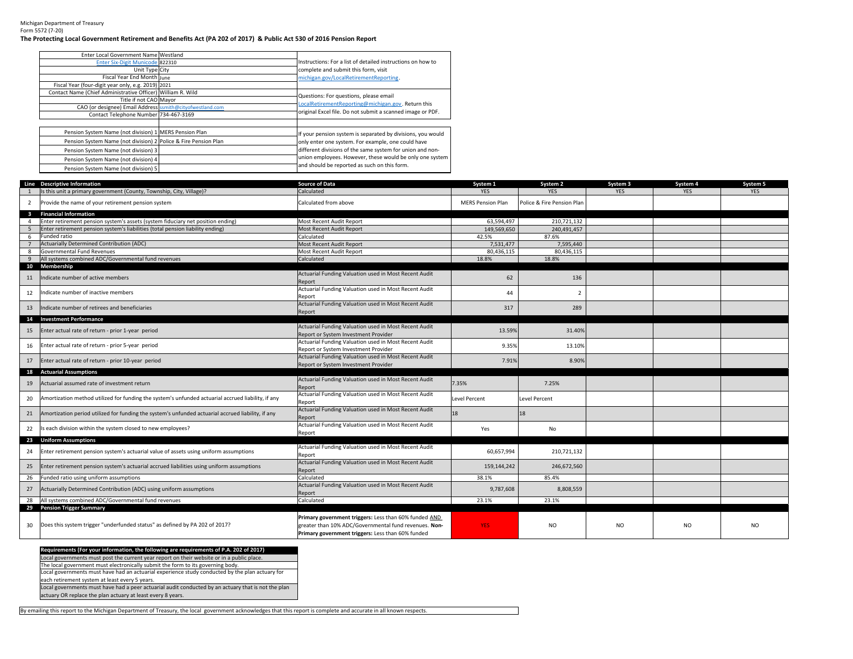Michigan Department of Treasury Form 5572 (7‐20)

## The Protecting Local Government Retirement and Benefits Act (PA 202 of 2017) & Public Act 530 of 2016 Pension Report

| Enter Local Government Name Westland                            |                                                             |
|-----------------------------------------------------------------|-------------------------------------------------------------|
| Enter Six-Digit Municode 822310                                 | Instructions: For a list of detailed instructions on how to |
| Unit Type City                                                  | complete and submit this form, visit                        |
| Fiscal Year End Month June                                      | michigan.gov/LocalRetirementReporting.                      |
| Fiscal Year (four-digit year only, e.g. 2019) 2021              |                                                             |
| Contact Name (Chief Administrative Officer) William R. Wild     | Questions: For questions, please email                      |
| Title if not CAO Mavor                                          | LocalRetirementReporting@michigan.gov. Return this          |
| CAO (or designee) Email Address ssmith@cityofwestland.com       |                                                             |
| Contact Telephone Number 734-467-3169                           | original Excel file. Do not submit a scanned image or PDF.  |
|                                                                 |                                                             |
| Pension System Name (not division) 1 MERS Pension Plan          | If your pension system is separated by divisions, you would |
| Pension System Name (not division) 2 Police & Fire Pension Plan | only enter one system. For example, one could have          |
| Pension System Name (not division) 3                            | different divisions of the same system for union and non-   |
| Pension System Name (not division) 4                            | union employees. However, these would be only one system    |
| Pension System Name (not division) 5                            | and should be reported as such on this form.                |

|                         | Line Descriptive Information                                                                       | <b>Source of Data</b>                                                                                                                                               | System 1                 | System 2                   | System 3       | System 4       | System 5       |
|-------------------------|----------------------------------------------------------------------------------------------------|---------------------------------------------------------------------------------------------------------------------------------------------------------------------|--------------------------|----------------------------|----------------|----------------|----------------|
|                         | Is this unit a primary government (County, Township, City, Village)?                               | Calculated                                                                                                                                                          | <b>YES</b>               | <b>YES</b>                 | <b>YES</b>     | <b>YES</b>     | <b>YES</b>     |
| $\overline{2}$          | Provide the name of your retirement pension system                                                 | Calculated from above                                                                                                                                               | <b>MERS Pension Plan</b> | Police & Fire Pension Plan |                |                |                |
| $\overline{\mathbf{3}}$ | <b>Financial Information</b>                                                                       |                                                                                                                                                                     |                          |                            |                |                |                |
| $\overline{4}$          | Enter retirement pension system's assets (system fiduciary net position ending)                    | Most Recent Audit Report                                                                                                                                            | 63.594.497               | 210.721.132                |                |                |                |
|                         | Enter retirement pension system's liabilities (total pension liability ending)                     | Most Recent Audit Report                                                                                                                                            | 149,569,650              | 240,491,457                |                |                |                |
| 6                       | Funded ratio                                                                                       | Calculated                                                                                                                                                          | 42.5%                    | 87.6%                      |                |                |                |
|                         | Actuarially Determined Contribution (ADC)                                                          | Most Recent Audit Report                                                                                                                                            | 7,531,477                | 7,595,440                  |                |                |                |
| 8                       | Governmental Fund Revenues                                                                         | Most Recent Audit Report                                                                                                                                            | 80,436,115               | 80.436.115                 |                |                |                |
| 9                       | All systems combined ADC/Governmental fund revenues                                                | Calculated                                                                                                                                                          | 18.8%                    | 18.8%                      |                |                |                |
|                         | 10 Membership                                                                                      |                                                                                                                                                                     |                          |                            |                |                |                |
| 11                      | Indicate number of active members                                                                  | Actuarial Funding Valuation used in Most Recent Audit<br>Report                                                                                                     | 62                       | 136                        |                |                |                |
| 12                      | ndicate number of inactive members                                                                 | Actuarial Funding Valuation used in Most Recent Audit<br>Report                                                                                                     | 44                       | $\overline{2}$             |                |                |                |
| 13                      | ndicate number of retirees and beneficiaries                                                       | Actuarial Funding Valuation used in Most Recent Audit<br>Report                                                                                                     | 317                      | 289                        |                |                |                |
| 14                      | <b>Investment Performance</b>                                                                      |                                                                                                                                                                     |                          |                            |                |                |                |
|                         | Enter actual rate of return - prior 1-year period                                                  | Actuarial Funding Valuation used in Most Recent Audit                                                                                                               | 13.59%                   | 31.40%                     |                |                |                |
| 15                      |                                                                                                    | Report or System Investment Provider                                                                                                                                |                          |                            |                |                |                |
| 16                      | Enter actual rate of return - prior 5-year period                                                  | Actuarial Funding Valuation used in Most Recent Audit                                                                                                               | 9.35%                    | 13.10%                     |                |                |                |
|                         |                                                                                                    | Report or System Investment Provider                                                                                                                                |                          |                            |                |                |                |
| 17                      | Enter actual rate of return - prior 10-year period                                                 | Actuarial Funding Valuation used in Most Recent Audit                                                                                                               | 7.91%                    | 8.90%                      |                |                |                |
|                         |                                                                                                    | Report or System Investment Provider                                                                                                                                |                          |                            |                |                |                |
|                         | 18 Actuarial Assumptions                                                                           |                                                                                                                                                                     |                          |                            |                |                |                |
| 19                      | Actuarial assumed rate of investment return                                                        | Actuarial Funding Valuation used in Most Recent Audit                                                                                                               | 7.35%                    | 7.25%                      |                |                |                |
|                         |                                                                                                    | Report                                                                                                                                                              |                          |                            |                |                |                |
| 20                      | Amortization method utilized for funding the system's unfunded actuarial accrued liability, if any | Actuarial Funding Valuation used in Most Recent Audit<br>Report                                                                                                     | <b>Level Percent</b>     | <b>Level Percent</b>       |                |                |                |
| 21                      | Amortization period utilized for funding the system's unfunded actuarial accrued liability, if any | Actuarial Funding Valuation used in Most Recent Audit<br>Report                                                                                                     | 18                       | 18                         |                |                |                |
| 22                      | Is each division within the system closed to new employees?                                        | Actuarial Funding Valuation used in Most Recent Audit<br>Report                                                                                                     | Yes                      | No                         |                |                |                |
|                         | 23 Uniform Assumptions                                                                             |                                                                                                                                                                     |                          |                            |                |                |                |
| 24                      | Enter retirement pension system's actuarial value of assets using uniform assumptions              | Actuarial Funding Valuation used in Most Recent Audit<br>Report                                                                                                     | 60,657,994               | 210,721,132                |                |                |                |
| 25                      | Enter retirement pension system's actuarial accrued liabilities using uniform assumptions          | Actuarial Funding Valuation used in Most Recent Audit<br>Report                                                                                                     | 159,144,242              | 246,672,560                |                |                |                |
| 26                      | Funded ratio using uniform assumptions                                                             | Calculated                                                                                                                                                          | 38.1%                    | 85.4%                      |                |                |                |
|                         |                                                                                                    | Actuarial Funding Valuation used in Most Recent Audit                                                                                                               |                          |                            |                |                |                |
| 27                      | Actuarially Determined Contribution (ADC) using uniform assumptions                                | Report                                                                                                                                                              | 9,787,608                | 8,808,559                  |                |                |                |
| 28                      | All systems combined ADC/Governmental fund revenues                                                | Calculated                                                                                                                                                          | 23.1%                    | 23.1%                      |                |                |                |
|                         | 29 Pension Trigger Summary                                                                         |                                                                                                                                                                     |                          |                            |                |                |                |
| 30                      | Does this system trigger "underfunded status" as defined by PA 202 of 2017?                        | Primary government triggers: Less than 60% funded AND<br>greater than 10% ADC/Governmental fund revenues. Non-<br>Primary government triggers: Less than 60% funded | YES:                     | <b>NO</b>                  | N <sub>O</sub> | N <sub>O</sub> | N <sub>O</sub> |

Local governments must post the current year report on their website or in <sup>a</sup> public place. The local government must electronically submit the form to its governing body. **Requirements (For your information, the following are requirements of P.A. 202 of 2017)**

Local governments must have had an actuarial experience study conducted by the plan actuary for

each retirement system at least every 5 years.

Local governments must have had <sup>a</sup> peer actuarial audit conducted by an actuary that is not the plan actuary OR replace the plan actuary at least every 8 years.

By emailing this report to the Michigan Department of Treasury, the local government acknowledges that this report is complete and accurate in all known respects.